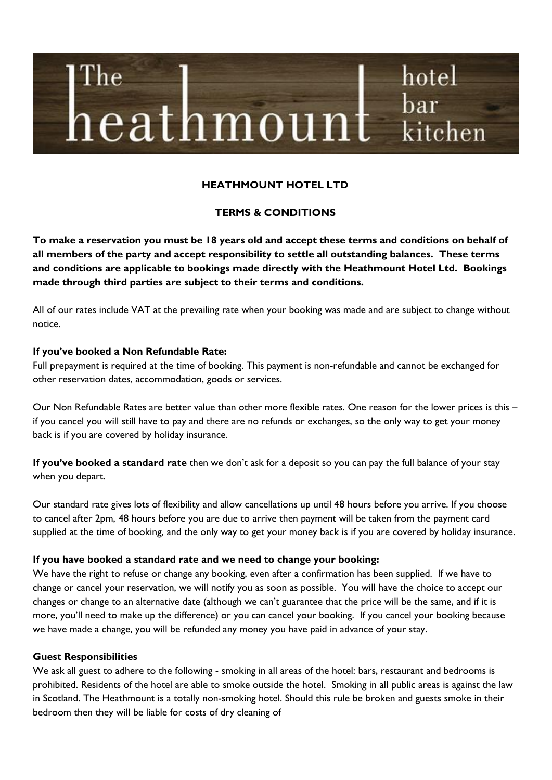# hotel The bar  $\,\mathrm{heat}$ h $\mathrm{mou}$ kitchen

# **HEATHMOUNT HOTEL LTD**

## **TERMS & CONDITIONS**

**To make a reservation you must be 18 years old and accept these terms and conditions on behalf of all members of the party and accept responsibility to settle all outstanding balances. These terms and conditions are applicable to bookings made directly with the Heathmount Hotel Ltd. Bookings made through third parties are subject to their terms and conditions.** 

All of our rates include VAT at the prevailing rate when your booking was made and are subject to change without notice.

#### **If you've booked a Non Refundable Rate:**

Full prepayment is required at the time of booking. This payment is non-refundable and cannot be exchanged for other reservation dates, accommodation, goods or services.

Our Non Refundable Rates are better value than other more flexible rates. One reason for the lower prices is this – if you cancel you will still have to pay and there are no refunds or exchanges, so the only way to get your money back is if you are covered by holiday insurance.

**If you've booked a standard rate** then we don't ask for a deposit so you can pay the full balance of your stay when you depart.

Our standard rate gives lots of flexibility and allow cancellations up until 48 hours before you arrive. If you choose to cancel after 2pm, 48 hours before you are due to arrive then payment will be taken from the payment card supplied at the time of booking, and the only way to get your money back is if you are covered by holiday insurance.

#### **If you have booked a standard rate and we need to change your booking:**

We have the right to refuse or change any booking, even after a confirmation has been supplied. If we have to change or cancel your reservation, we will notify you as soon as possible. You will have the choice to accept our changes or change to an alternative date (although we can't guarantee that the price will be the same, and if it is more, you'll need to make up the difference) or you can cancel your booking. If you cancel your booking because we have made a change, you will be refunded any money you have paid in advance of your stay.

#### **Guest Responsibilities**

We ask all guest to adhere to the following - smoking in all areas of the hotel: bars, restaurant and bedrooms is prohibited. Residents of the hotel are able to smoke outside the hotel. Smoking in all public areas is against the law in Scotland. The Heathmount is a totally non-smoking hotel. Should this rule be broken and guests smoke in their bedroom then they will be liable for costs of dry cleaning of